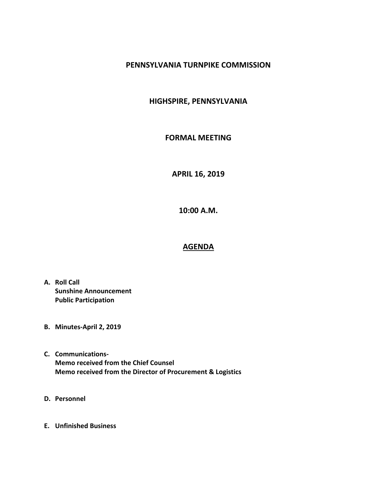## **PENNSYLVANIA TURNPIKE COMMISSION**

## **HIGHSPIRE, PENNSYLVANIA**

## **FORMAL MEETING**

**APRIL 16, 2019**

**10:00 A.M.**

## **AGENDA**

- **A. Roll Call Sunshine Announcement Public Participation**
- **B. Minutes-April 2, 2019**
- **C. Communications-Memo received from the Chief Counsel Memo received from the Director of Procurement & Logistics**
- **D. Personnel**
- **E. Unfinished Business**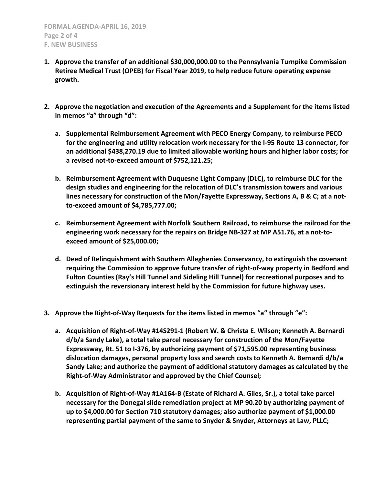- **1. Approve the transfer of an additional \$30,000,000.00 to the Pennsylvania Turnpike Commission Retiree Medical Trust (OPEB) for Fiscal Year 2019, to help reduce future operating expense growth.**
- **2. Approve the negotiation and execution of the Agreements and a Supplement for the items listed in memos "a" through "d":**
	- **a. Supplemental Reimbursement Agreement with PECO Energy Company, to reimburse PECO for the engineering and utility relocation work necessary for the I-95 Route 13 connector, for an additional \$438,270.19 due to limited allowable working hours and higher labor costs; for a revised not-to-exceed amount of \$752,121.25;**
	- **b. Reimbursement Agreement with Duquesne Light Company (DLC), to reimburse DLC for the design studies and engineering for the relocation of DLC's transmission towers and various lines necessary for construction of the Mon/Fayette Expressway, Sections A, B & C; at a notto-exceed amount of \$4,785,777.00;**
	- **c. Reimbursement Agreement with Norfolk Southern Railroad, to reimburse the railroad for the engineering work necessary for the repairs on Bridge NB-327 at MP A51.76, at a not-toexceed amount of \$25,000.00;**
	- **d. Deed of Relinquishment with Southern Alleghenies Conservancy, to extinguish the covenant requiring the Commission to approve future transfer of right-of-way property in Bedford and Fulton Counties (Ray's Hill Tunnel and Sideling Hill Tunnel) for recreational purposes and to extinguish the reversionary interest held by the Commission for future highway uses.**
- **3. Approve the Right-of-Way Requests for the items listed in memos "a" through "e":**
	- **a. Acquisition of Right-of-Way #14S291-1 (Robert W. & Christa E. Wilson; Kenneth A. Bernardi d/b/a Sandy Lake), a total take parcel necessary for construction of the Mon/Fayette Expressway, Rt. 51 to I-376, by authorizing payment of \$71,595.00 representing business dislocation damages, personal property loss and search costs to Kenneth A. Bernardi d/b/a Sandy Lake; and authorize the payment of additional statutory damages as calculated by the Right-of-Way Administrator and approved by the Chief Counsel;**
	- **b. Acquisition of Right-of-Way #1A164-B (Estate of Richard A. Giles, Sr.), a total take parcel necessary for the Donegal slide remediation project at MP 90.20 by authorizing payment of up to \$4,000.00 for Section 710 statutory damages; also authorize payment of \$1,000.00 representing partial payment of the same to Snyder & Snyder, Attorneys at Law, PLLC;**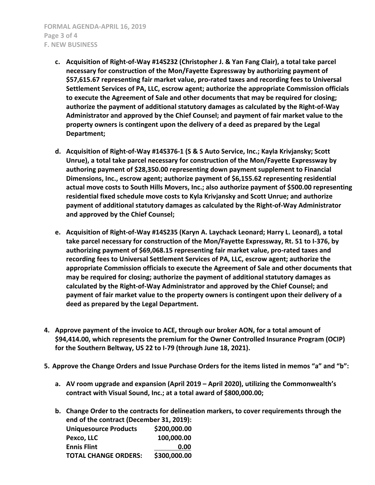- **c. Acquisition of Right-of-Way #14S232 (Christopher J. & Yan Fang Clair), a total take parcel necessary for construction of the Mon/Fayette Expressway by authorizing payment of \$57,615.67 representing fair market value, pro-rated taxes and recording fees to Universal Settlement Services of PA, LLC, escrow agent; authorize the appropriate Commission officials to execute the Agreement of Sale and other documents that may be required for closing; authorize the payment of additional statutory damages as calculated by the Right-of-Way Administrator and approved by the Chief Counsel; and payment of fair market value to the property owners is contingent upon the delivery of a deed as prepared by the Legal Department;**
- **d. Acquisition of Right-of-Way #14S376-1 (S & S Auto Service, Inc.; Kayla Krivjansky; Scott Unrue), a total take parcel necessary for construction of the Mon/Fayette Expressway by authoring payment of \$28,350.00 representing down payment supplement to Financial Dimensions, Inc., escrow agent; authorize payment of \$6,155.62 representing residential actual move costs to South Hills Movers, Inc.; also authorize payment of \$500.00 representing residential fixed schedule move costs to Kyla Krivjansky and Scott Unrue; and authorize payment of additional statutory damages as calculated by the Right-of-Way Administrator and approved by the Chief Counsel;**
- **e. Acquisition of Right-of-Way #14S235 (Karyn A. Laychack Leonard; Harry L. Leonard), a total take parcel necessary for construction of the Mon/Fayette Expressway, Rt. 51 to I-376, by authorizing payment of \$69,068.15 representing fair market value, pro-rated taxes and recording fees to Universal Settlement Services of PA, LLC, escrow agent; authorize the appropriate Commission officials to execute the Agreement of Sale and other documents that may be required for closing; authorize the payment of additional statutory damages as calculated by the Right-of-Way Administrator and approved by the Chief Counsel; and payment of fair market value to the property owners is contingent upon their delivery of a deed as prepared by the Legal Department.**
- **4. Approve payment of the invoice to ACE, through our broker AON, for a total amount of \$94,414.00, which represents the premium for the Owner Controlled Insurance Program (OCIP) for the Southern Beltway, US 22 to I-79 (through June 18, 2021).**
- **5. Approve the Change Orders and Issue Purchase Orders for the items listed in memos "a" and "b":**
	- **a. AV room upgrade and expansion (April 2019 – April 2020), utilizing the Commonwealth's contract with Visual Sound, Inc.; at a total award of \$800,000.00;**
	- **b. Change Order to the contracts for delineation markers, to cover requirements through the end of the contract (December 31, 2019): Uniquesource Products \$200,000.00 Pexco, LLC 100,000.00**

| Pexco, LLC                  | <b>100,000.00</b> |
|-----------------------------|-------------------|
| <b>Ennis Flint</b>          | 0.00              |
| <b>TOTAL CHANGE ORDERS:</b> | \$300,000.00      |